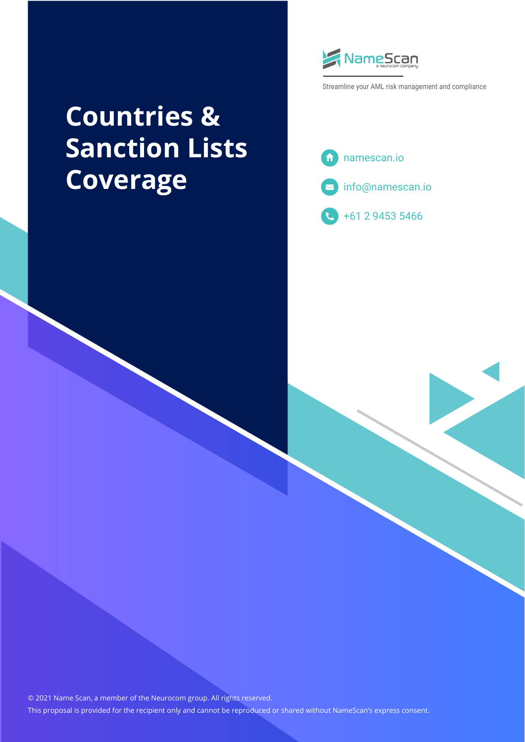# **Countries & Sanction Lists Coverage**



Streamline your AML risk management and compliance





+61 2 9453 5466

© 2021 Name Scan, a member of the Neurocom group. All rights reserved. This proposal is provided for the recipient only and cannot be reproduced or shared without NameScan's express consent.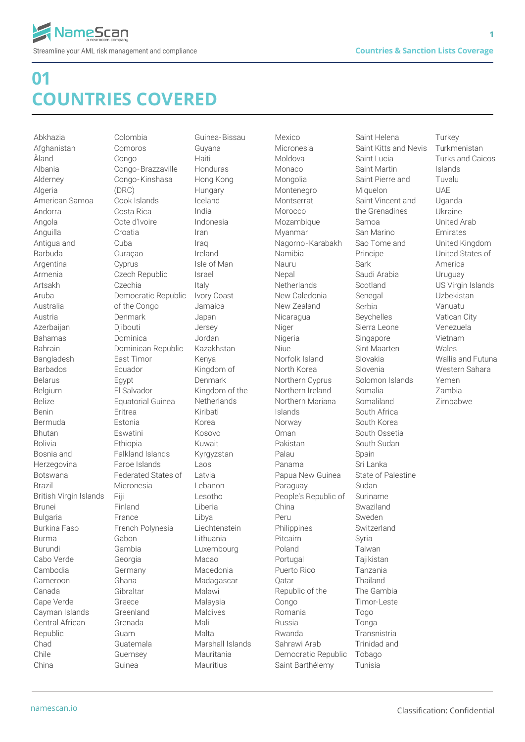**1**

#### **01 COUNTRIES COVERED**

Abkhazia Afghanistan Åland Albania Alderney Algeria American Samoa Andorra Angola Anguilla Antigua and Barbuda Argentina Armenia Artsakh Aruba Australia Austria Azerbaijan Bahamas Bahrain Bangladesh Barbados Belarus Belgium Belize Benin Bermuda Bhutan Bolivia Bosnia and Herzegovina Botswana Brazil British Virgin Islands Brunei Bulgaria Burkina Faso Burma Burundi Cabo Verde Cambodia Cameroon Canada Cape Verde Cayman Islands Central African Republic Chad Chile China

Colombia Comoros Congo Congo-Brazzaville Congo-Kinshasa (DRC) Cook Islands Costa Rica Cote d'Ivoire Croatia Cuba Curaçao Cyprus Czech Republic Czechia Democratic Republic of the Congo Denmark Diibouti Dominica Dominican Republic East Timor Ecuador Egypt El Salvador Equatorial Guinea Eritrea Estonia Eswatini **Ethiopia** Falkland Islands Faroe Islands Federated States of Micronesia Fiji Finland France French Polynesia Gabon Gambia Georgia Germany Ghana Gibraltar Greece Greenland Grenada Guam Guatemala Guernsey Guinea

Guinea-Bissau Guyana Haiti Honduras Hong Kong **Hungary** Iceland India Indonesia Iran Iraq Ireland Isle of Man Israel Italy Ivory Coast Jamaica Japan Jersey Jordan Kazakhstan Kenya Kingdom of Denmark Kingdom of the **Netherlands** Kiribati Korea Kosovo Kuwait Kyrgyzstan Lans Latvia Lebanon Lesotho Liberia Libya Liechtenstein Lithuania Luxembourg Macao Macedonia Madagascar Malawi Malaysia Maldives Mali Malta Marshall Islands Mauritania Mauritius

Mexico Micronesia Moldova Monaco Mongolia Montenegro Montserrat Morocco Mozambique Myanmar Nagorno-Karabakh Namibia Nauru Nepal **Netherlands** New Caledonia New Zealand Nicaragua Niger Nigeria Niue Norfolk Island North Korea Northern Cyprus Northern Ireland Northern Mariana Islands Norway Oman Pakistan Palau Panama Papua New Guinea Paraguay People's Republic of China Peru Philippines Pitcairn Poland Portugal Puerto Rico Qatar Republic of the Congo Romania Russia Rwanda Sahrawi Arab Democratic Republic Saint Barthélemy

Saint Helena Saint Kitts and Nevis Saint Lucia Saint Martin Saint Pierre and Miquelon Saint Vincent and the Grenadines Samoa San Marino Sao Tome and Principe Sark Saudi Arabia Scotland Senegal Serbia Seychelles Sierra Leone Singapore Sint Maarten Slovakia Slovenia Solomon Islands Somalia Somaliland South Africa South Korea South Ossetia South Sudan Spain Sri Lanka State of Palestine Sudan Suriname Swaziland Sweden Switzerland Syria Taiwan **Tajikistan** Tanzania Thailand The Gambia Timor-Leste Togo **Tonga** Transnistria Trinidad and Tobago Tunisia

**Turkey** Turkmenistan Turks and Caicos Islands Tuvalu **UAF** Uganda Ukraine United Arab Emirates United Kingdom United States of America Uruguay US Virgin Islands Uzbekistan Vanuatu Vatican City Venezuela Vietnam Wales Wallis and Futuna Western Sahara Yemen Zambia Zimbabwe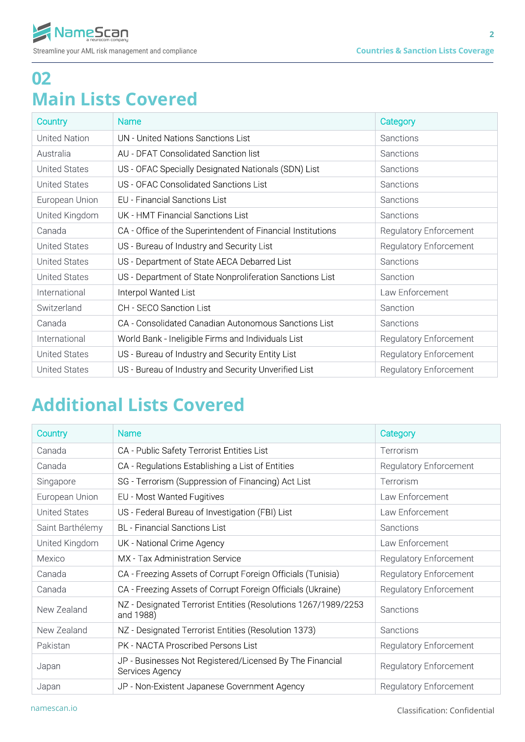### **02 Main Lists Covered**

| Country              | <b>Name</b>                                                 | Category                      |
|----------------------|-------------------------------------------------------------|-------------------------------|
| <b>United Nation</b> | UN - United Nations Sanctions List                          | <b>Sanctions</b>              |
| Australia            | AU - DFAT Consolidated Sanction list                        | <b>Sanctions</b>              |
| <b>United States</b> | US - OFAC Specially Designated Nationals (SDN) List         | Sanctions                     |
| <b>United States</b> | US - OFAC Consolidated Sanctions List                       | Sanctions                     |
| European Union       | <b>EU</b> - Financial Sanctions List                        | <b>Sanctions</b>              |
| United Kingdom       | UK - HMT Financial Sanctions List                           | <b>Sanctions</b>              |
| Canada               | CA - Office of the Superintendent of Financial Institutions | <b>Regulatory Enforcement</b> |
| <b>United States</b> | US - Bureau of Industry and Security List                   | Regulatory Enforcement        |
| <b>United States</b> | US - Department of State AECA Debarred List                 | Sanctions                     |
| <b>United States</b> | US - Department of State Nonproliferation Sanctions List    | Sanction                      |
| International        | Interpol Wanted List                                        | Law Enforcement               |
| Switzerland          | CH - SECO Sanction List                                     | Sanction                      |
| Canada               | CA - Consolidated Canadian Autonomous Sanctions List        | Sanctions                     |
| International        | World Bank - Ineligible Firms and Individuals List          | <b>Regulatory Enforcement</b> |
| <b>United States</b> | US - Bureau of Industry and Security Entity List            | <b>Regulatory Enforcement</b> |
| <b>United States</b> | US - Bureau of Industry and Security Unverified List        | <b>Regulatory Enforcement</b> |

## **Additional Lists Covered**

| Country              | <b>Name</b>                                                                 | Category                      |
|----------------------|-----------------------------------------------------------------------------|-------------------------------|
| Canada               | CA - Public Safety Terrorist Entities List                                  | Terrorism                     |
| Canada               | CA - Regulations Establishing a List of Entities                            | Regulatory Enforcement        |
| Singapore            | SG - Terrorism (Suppression of Financing) Act List                          | Terrorism                     |
| European Union       | EU - Most Wanted Fugitives                                                  | Law Enforcement               |
| <b>United States</b> | US - Federal Bureau of Investigation (FBI) List                             | Law Enforcement               |
| Saint Barthélemy     | <b>BL</b> - Financial Sanctions List                                        | Sanctions                     |
| United Kingdom       | UK - National Crime Agency                                                  | Law Enforcement               |
| Mexico               | MX - Tax Administration Service                                             | Regulatory Enforcement        |
| Canada               | CA - Freezing Assets of Corrupt Foreign Officials (Tunisia)                 | <b>Regulatory Enforcement</b> |
| Canada               | CA - Freezing Assets of Corrupt Foreign Officials (Ukraine)                 | <b>Regulatory Enforcement</b> |
| New Zealand          | NZ - Designated Terrorist Entities (Resolutions 1267/1989/2253<br>and 1988) | Sanctions                     |
| New Zealand          | NZ - Designated Terrorist Entities (Resolution 1373)                        | Sanctions                     |
| Pakistan             | <b>PK - NACTA Proscribed Persons List</b>                                   | <b>Regulatory Enforcement</b> |
| Japan                | JP - Businesses Not Registered/Licensed By The Financial<br>Services Agency | <b>Regulatory Enforcement</b> |
| Japan                | JP - Non-Existent Japanese Government Agency                                | <b>Regulatory Enforcement</b> |